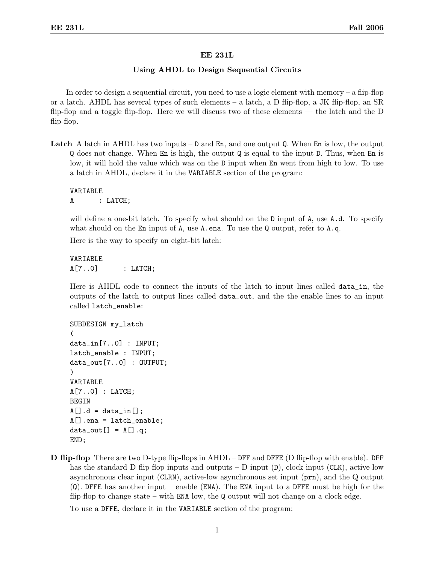## EE 231L

## Using AHDL to Design Sequential Circuits

In order to design a sequential circuit, you need to use a logic element with memory – a flip-flop or a latch. AHDL has several types of such elements – a latch, a D flip-flop, a JK flip-flop, an  $SR$ flip-flop and a toggle flip-flop. Here we will discuss two of these elements — the latch and the D flip-flop.

**Latch** A latch in AHDL has two inputs  $-$  D and En, and one output Q. When En is low, the output Q does not change. When En is high, the output Q is equal to the input D. Thus, when En is low, it will hold the value which was on the D input when En went from high to low. To use a latch in AHDL, declare it in the VARIABLE section of the program:

VARIABLE A : LATCH;

will define a one-bit latch. To specify what should on the D input of A, use A.d. To specify what should on the En input of A, use A.ena. To use the Q output, refer to A.q.

Here is the way to specify an eight-bit latch:

VARIABLE A[7..0] : LATCH;

Here is AHDL code to connect the inputs of the latch to input lines called data\_in, the outputs of the latch to output lines called data\_out, and the the enable lines to an input called latch\_enable:

```
SUBDESIGN my_latch
(
data_in[7..0] : INPUT;
latch_enable : INPUT;
data_out[7..0] : OUTPUT;
)
VARIABLE
A[7..0] : LATCH;
BEGIN
A[].d = data_in[];A[].ena = latch_enable;
data_out[] = A[] . q;END;
```
D flip-flop There are two D-type flip-flops in AHDL – DFF and DFFE (D flip-flop with enable). DFF has the standard D flip-flop inputs and outputs – D input  $(D)$ , clock input  $(CLK)$ , active-low asynchronous clear input (CLRN), active-low asynchronous set input (prn), and the Q output (Q). DFFE has another input – enable (ENA). The ENA input to a DFFE must be high for the flip-flop to change state – with  $ENA$  low, the Q output will not change on a clock edge.

To use a DFFE, declare it in the VARIABLE section of the program: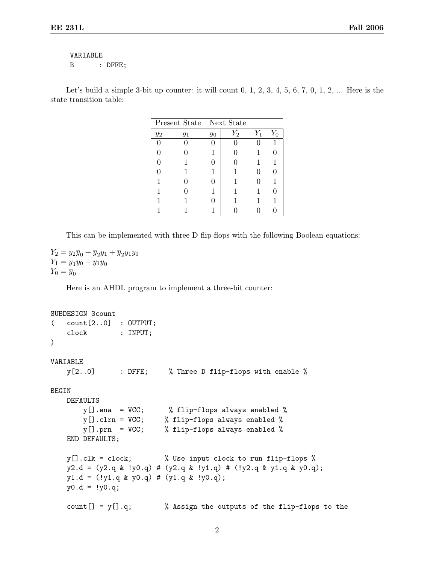## VARIABLE B : DFFE;

Let's build a simple 3-bit up counter: it will count  $0, 1, 2, 3, 4, 5, 6, 7, 0, 1, 2, \ldots$  Here is the state transition table:

| Present State Next State |       |       |       |       |              |
|--------------------------|-------|-------|-------|-------|--------------|
| $y_2$                    | $y_1$ | $y_0$ | $Y_2$ | $Y_1$ |              |
|                          |       |       |       |       |              |
|                          |       |       |       |       | U            |
|                          | 1     |       |       |       | 1            |
|                          |       |       |       |       | $\mathbf{0}$ |
|                          |       |       | 1     |       |              |
|                          |       |       | 1     |       | 0            |
|                          |       |       | 1     |       | 1            |
|                          |       |       |       |       |              |

This can be implemented with three D flip-flops with the following Boolean equations:

 $Y_2 = y_2\overline{y}_0 + \overline{y}_2y_1 + \overline{y}_2y_1y_0$  $Y_1 = \overline{y}_1 y_0 + y_1 \overline{y}_0$  $Y_0 = \overline{y}_0$ 

Here is an AHDL program to implement a three-bit counter:

```
SUBDESIGN 3count
( count[2..0] : OUTPUT;
   clock : INPUT;
)
VARIABLE
   y[2..0] : DFFE; % Three D flip-flops with enable %
BEGIN
   DEFAULTS
       y[].ena = VCC; % flip-flops always enabled %
       y[].clrn = VCC; % flip-flops always enabled %
       y[].prn = VCC; % flip-flops always enabled %
   END DEFAULTS;
   y[].clk = clock; % Use input clock to run flip-flops %
   y2.d = (y2.q & y0.q) # (y2.q & y1.q) # (y2.q & y1.q & y1.q)y1.d = (!y1.q & y0.q) # (y1.q & !y0.q);
   y0.d = y0.q;count [] = y[] .q; % Assign the outputs of the flip-flops to the
```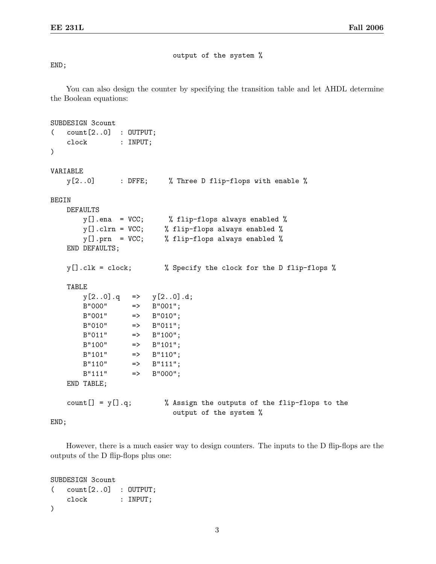output of the system %

## END;

You can also design the counter by specifying the transition table and let AHDL determine the Boolean equations:

```
SUBDESIGN 3count
( count[2..0] : OUTPUT;
   clock : INPUT;
\mathcal{L}VARIABLE
   y[2..0] : DFFE; % Three D flip-flops with enable %
BEGIN
   DEFAULTS
       y[].ena = VCC; % flip-flops always enabled %
       y[].clrn = VCC; % flip-flops always enabled %
       y[].prn = VCC; % flip-flops always enabled %
   END DEFAULTS;
   y[].clk = clock; % Specify the clock for the D flip-flops %
   TABLE
       y[2..0].q => y[2..0].d;B''000'' => B''001'';
       B''001'' => B''010'';
       B''010'' => B''011'';
       B''011'' => B''100'';
       B''100'' => B''101'';
       B''101'' => B''110'';
       B''110'' => B''111'';
       B''111'' => B''000'';
   END TABLE;
   count[] = y[].q; % Assign the outputs of the flip-flops to the
                           output of the system %
```
END;

However, there is a much easier way to design counters. The inputs to the D flip-flops are the outputs of the D flip-flops plus one:

```
SUBDESIGN 3count
( count[2..0] : OUTPUT;
   clock : INPUT;
)
```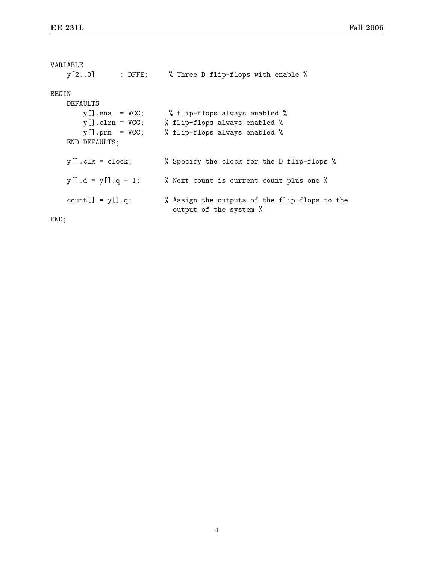```
VARIABLE
   y[2..0] : DFFE; % Three D flip-flops with enable %
BEGIN
   DEFAULTS
       y[].ena = VCC; % flip-flops always enabled %
       y[].clrn = VCC; % flip-flops always enabled %
       y[].prn = VCC; % flip-flops always enabled %
   END DEFAULTS;
   y[].clk = clock; % Specify the clock for the D flip-flops %
   y[] .d = y[] .q + 1; % Next count is current count plus one %
   count [] = y[] .q; % Assign the outputs of the flip-flops to the
                           output of the system %
END;
```